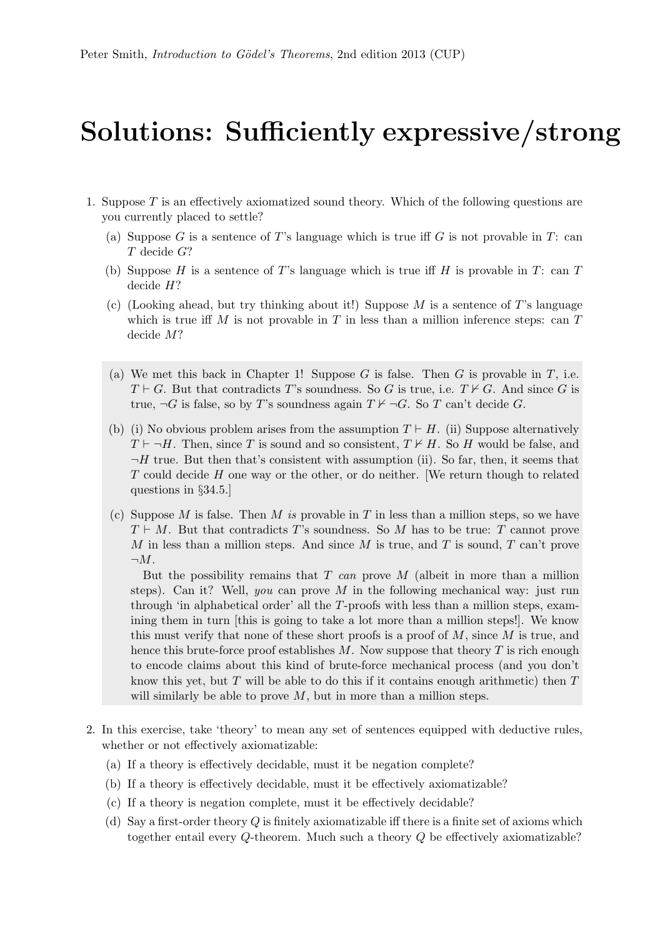## Solutions: Sufficiently expressive/strong

- 1. Suppose T is an effectively axiomatized sound theory. Which of the following questions are you currently placed to settle?
	- (a) Suppose G is a sentence of T's language which is true iff G is not provable in T: can T decide G?
	- (b) Suppose H is a sentence of T's language which is true iff H is provable in T: can T decide H?
	- (c) (Looking ahead, but try thinking about it!) Suppose M is a sentence of T's language which is true iff M is not provable in T in less than a million inference steps: can  $T$ decide M?
	- (a) We met this back in Chapter 1! Suppose G is false. Then G is provable in T, i.e.  $T \vdash G$ . But that contradicts T's soundness. So G is true, i.e.  $T \nvdash G$ . And since G is true,  $\neg G$  is false, so by T's soundness again  $T \nvdash \neg G$ . So T can't decide G.
	- (b) (i) No obvious problem arises from the assumption  $T \vdash H$ . (ii) Suppose alternatively  $T \vdash \neg H$ . Then, since T is sound and so consistent,  $T \nvdash H$ . So H would be false, and  $\neg H$  true. But then that's consistent with assumption (ii). So far, then, it seems that T could decide H one way or the other, or do neither. [We return though to related questions in §34.5.]
	- (c) Suppose M is false. Then M is provable in T in less than a million steps, so we have  $T \vdash M$ . But that contradicts T's soundness. So M has to be true: T cannot prove M in less than a million steps. And since M is true, and T is sound, T can't prove  $\neg M$ .

But the possibility remains that  $T$  can prove  $M$  (albeit in more than a million steps). Can it? Well, you can prove M in the following mechanical way: just run through 'in alphabetical order' all the T-proofs with less than a million steps, examining them in turn [this is going to take a lot more than a million steps!]. We know this must verify that none of these short proofs is a proof of  $M$ , since  $M$  is true, and hence this brute-force proof establishes  $M$ . Now suppose that theory  $T$  is rich enough to encode claims about this kind of brute-force mechanical process (and you don't know this yet, but  $T$  will be able to do this if it contains enough arithmetic) then  $T$ will similarly be able to prove  $M$ , but in more than a million steps.

- 2. In this exercise, take 'theory' to mean any set of sentences equipped with deductive rules, whether or not effectively axiomatizable:
	- (a) If a theory is effectively decidable, must it be negation complete?
	- (b) If a theory is effectively decidable, must it be effectively axiomatizable?
	- (c) If a theory is negation complete, must it be effectively decidable?
	- (d) Say a first-order theory  $Q$  is finitely axiomatizable iff there is a finite set of axioms which together entail every Q-theorem. Much such a theory Q be effectively axiomatizable?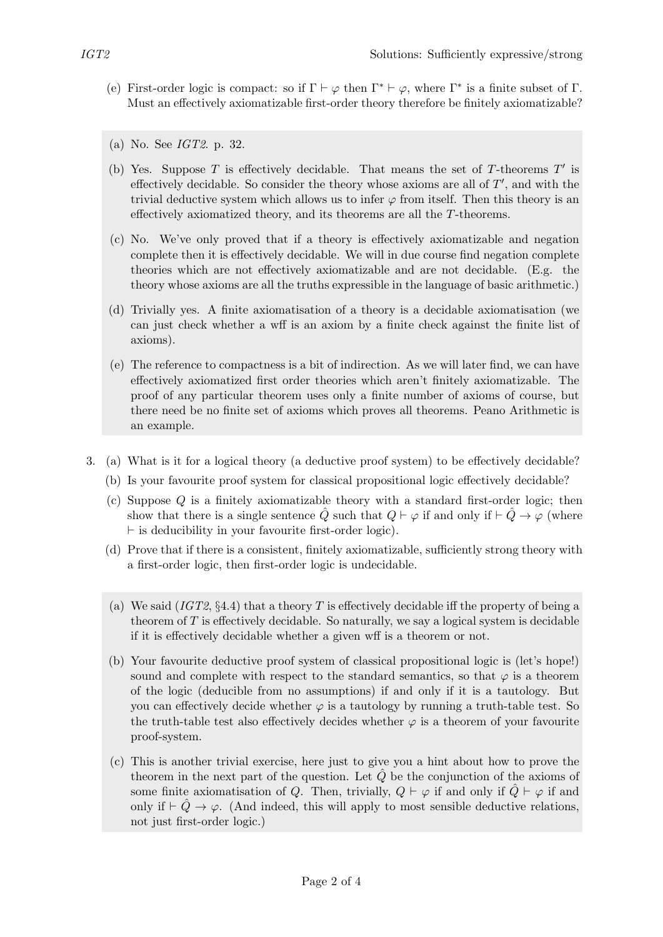- (e) First-order logic is compact: so if  $\Gamma \vdash \varphi$  then  $\Gamma^* \vdash \varphi$ , where  $\Gamma^*$  is a finite subset of  $\Gamma$ . Must an effectively axiomatizable first-order theory therefore be finitely axiomatizable?
- (a) No. See IGT2. p. 32.
- (b) Yes. Suppose  $T$  is effectively decidable. That means the set of  $T$ -theorems  $T'$  is effectively decidable. So consider the theory whose axioms are all of  $T'$ , and with the trivial deductive system which allows us to infer  $\varphi$  from itself. Then this theory is an effectively axiomatized theory, and its theorems are all the T-theorems.
- (c) No. We've only proved that if a theory is effectively axiomatizable and negation complete then it is effectively decidable. We will in due course find negation complete theories which are not effectively axiomatizable and are not decidable. (E.g. the theory whose axioms are all the truths expressible in the language of basic arithmetic.)
- (d) Trivially yes. A finite axiomatisation of a theory is a decidable axiomatisation (we can just check whether a wff is an axiom by a finite check against the finite list of axioms).
- (e) The reference to compactness is a bit of indirection. As we will later find, we can have effectively axiomatized first order theories which aren't finitely axiomatizable. The proof of any particular theorem uses only a finite number of axioms of course, but there need be no finite set of axioms which proves all theorems. Peano Arithmetic is an example.
- 3. (a) What is it for a logical theory (a deductive proof system) to be effectively decidable?
	- (b) Is your favourite proof system for classical propositional logic effectively decidable?
	- (c) Suppose Q is a finitely axiomatizable theory with a standard first-order logic; then show that there is a single sentence Q such that  $Q \vdash \varphi$  if and only if  $\vdash Q \rightarrow \varphi$  (where  $\vdash$  is deducibility in your favourite first-order logic).
	- (d) Prove that if there is a consistent, finitely axiomatizable, sufficiently strong theory with a first-order logic, then first-order logic is undecidable.
	- (a) We said  $(IGT2, §4.4)$  that a theory T is effectively decidable iff the property of being a theorem of  $T$  is effectively decidable. So naturally, we say a logical system is decidable if it is effectively decidable whether a given wff is a theorem or not.
	- (b) Your favourite deductive proof system of classical propositional logic is (let's hope!) sound and complete with respect to the standard semantics, so that  $\varphi$  is a theorem of the logic (deducible from no assumptions) if and only if it is a tautology. But you can effectively decide whether  $\varphi$  is a tautology by running a truth-table test. So the truth-table test also effectively decides whether  $\varphi$  is a theorem of your favourite proof-system.
	- (c) This is another trivial exercise, here just to give you a hint about how to prove the theorem in the next part of the question. Let  $\hat{Q}$  be the conjunction of the axioms of some finite axiomatisation of Q. Then, trivially,  $Q \vdash \varphi$  if and only if  $\tilde{Q} \vdash \varphi$  if and only if  $\vdash \tilde{Q} \rightarrow \varphi$ . (And indeed, this will apply to most sensible deductive relations, not just first-order logic.)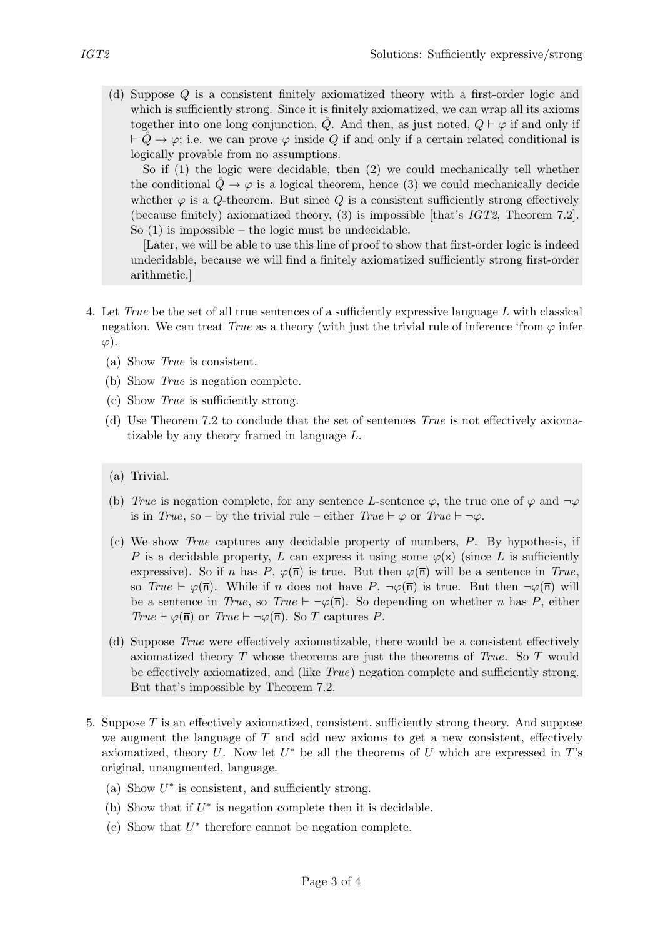(d) Suppose Q is a consistent finitely axiomatized theory with a first-order logic and which is sufficiently strong. Since it is finitely axiomatized, we can wrap all its axioms together into one long conjunction, Q. And then, as just noted,  $Q \vdash \varphi$  if and only if  $\vdash \tilde{Q} \rightarrow \varphi$ ; i.e. we can prove  $\varphi$  inside Q if and only if a certain related conditional is logically provable from no assumptions.

So if (1) the logic were decidable, then (2) we could mechanically tell whether the conditional  $Q \rightarrow \varphi$  is a logical theorem, hence (3) we could mechanically decide whether  $\varphi$  is a  $Q$ -theorem. But since  $Q$  is a consistent sufficiently strong effectively (because finitely) axiomatized theory, (3) is impossible [that's IGT2, Theorem 7.2]. So  $(1)$  is impossible – the logic must be undecidable.

[Later, we will be able to use this line of proof to show that first-order logic is indeed undecidable, because we will find a finitely axiomatized sufficiently strong first-order arithmetic.]

- 4. Let True be the set of all true sentences of a sufficiently expressive language L with classical negation. We can treat True as a theory (with just the trivial rule of inference 'from  $\varphi$  infer  $\varphi$ ).
	- (a) Show True is consistent.
	- (b) Show True is negation complete.
	- (c) Show True is sufficiently strong.
	- (d) Use Theorem 7.2 to conclude that the set of sentences  $True$  is not effectively axiomatizable by any theory framed in language L.
	- (a) Trivial.
	- (b) True is negation complete, for any sentence L-sentence  $\varphi$ , the true one of  $\varphi$  and  $\neg \varphi$ is in True, so – by the trivial rule – either True  $\vdash \varphi$  or True  $\vdash \neg \varphi$ .
	- (c) We show True captures any decidable property of numbers, P. By hypothesis, if P is a decidable property, L can express it using some  $\varphi(x)$  (since L is sufficiently expressive). So if n has P,  $\varphi(\overline{n})$  is true. But then  $\varphi(\overline{n})$  will be a sentence in True, so  $True \vdash \varphi(\overline{n})$ . While if n does not have  $P, \neg \varphi(\overline{n})$  is true. But then  $\neg \varphi(\overline{n})$  will be a sentence in True, so True  $\vdash \neg \varphi(\overline{n})$ . So depending on whether n has P, either True  $\vdash \varphi(\overline{n})$  or True  $\vdash \neg \varphi(\overline{n})$ . So T captures P.
	- (d) Suppose True were effectively axiomatizable, there would be a consistent effectively axiomatized theory T whose theorems are just the theorems of True. So T would be effectively axiomatized, and (like  $True$ ) negation complete and sufficiently strong. But that's impossible by Theorem 7.2.
- 5. Suppose T is an effectively axiomatized, consistent, sufficiently strong theory. And suppose we augment the language of  $T$  and add new axioms to get a new consistent, effectively axiomatized, theory  $U$ . Now let  $U^*$  be all the theorems of  $U$  which are expressed in  $T$ 's original, unaugmented, language.
	- (a) Show  $U^*$  is consistent, and sufficiently strong.
	- (b) Show that if  $U^*$  is negation complete then it is decidable.
	- (c) Show that  $U^*$  therefore cannot be negation complete.